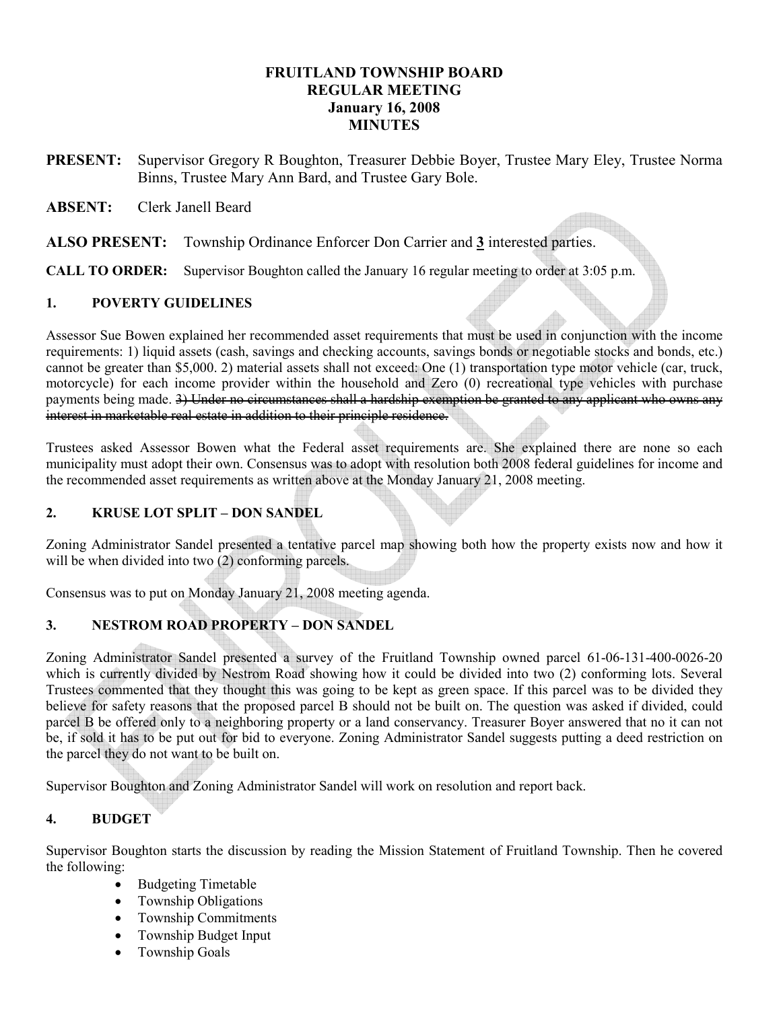## FRUITLAND TOWNSHIP BOARD REGULAR MEETING January 16, 2008 **MINUTES**

- PRESENT: Supervisor Gregory R Boughton, Treasurer Debbie Boyer, Trustee Mary Eley, Trustee Norma Binns, Trustee Mary Ann Bard, and Trustee Gary Bole.
- ABSENT: Clerk Janell Beard
- ALSO PRESENT: Township Ordinance Enforcer Don Carrier and 3 interested parties.

CALL TO ORDER: Supervisor Boughton called the January 16 regular meeting to order at 3:05 p.m.

### 1. POVERTY GUIDELINES

Assessor Sue Bowen explained her recommended asset requirements that must be used in conjunction with the income requirements: 1) liquid assets (cash, savings and checking accounts, savings bonds or negotiable stocks and bonds, etc.) cannot be greater than \$5,000. 2) material assets shall not exceed: One (1) transportation type motor vehicle (car, truck, motorcycle) for each income provider within the household and Zero (0) recreational type vehicles with purchase payments being made. 3) Under no circumstances shall a hardship exemption be granted to any applicant who owns any interest in marketable real estate in addition to their principle residence.

Trustees asked Assessor Bowen what the Federal asset requirements are. She explained there are none so each municipality must adopt their own. Consensus was to adopt with resolution both 2008 federal guidelines for income and the recommended asset requirements as written above at the Monday January 21, 2008 meeting.

## 2. KRUSE LOT SPLIT – DON SANDEL

Zoning Administrator Sandel presented a tentative parcel map showing both how the property exists now and how it will be when divided into two (2) conforming parcels.

Consensus was to put on Monday January 21, 2008 meeting agenda.

## 3. NESTROM ROAD PROPERTY – DON SANDEL

Zoning Administrator Sandel presented a survey of the Fruitland Township owned parcel 61-06-131-400-0026-20 which is currently divided by Nestrom Road showing how it could be divided into two (2) conforming lots. Several Trustees commented that they thought this was going to be kept as green space. If this parcel was to be divided they believe for safety reasons that the proposed parcel B should not be built on. The question was asked if divided, could parcel B be offered only to a neighboring property or a land conservancy. Treasurer Boyer answered that no it can not be, if sold it has to be put out for bid to everyone. Zoning Administrator Sandel suggests putting a deed restriction on the parcel they do not want to be built on.

Supervisor Boughton and Zoning Administrator Sandel will work on resolution and report back.

## 4. BUDGET

Supervisor Boughton starts the discussion by reading the Mission Statement of Fruitland Township. Then he covered the following:

- Budgeting Timetable
- Township Obligations
- Township Commitments
- Township Budget Input
- Township Goals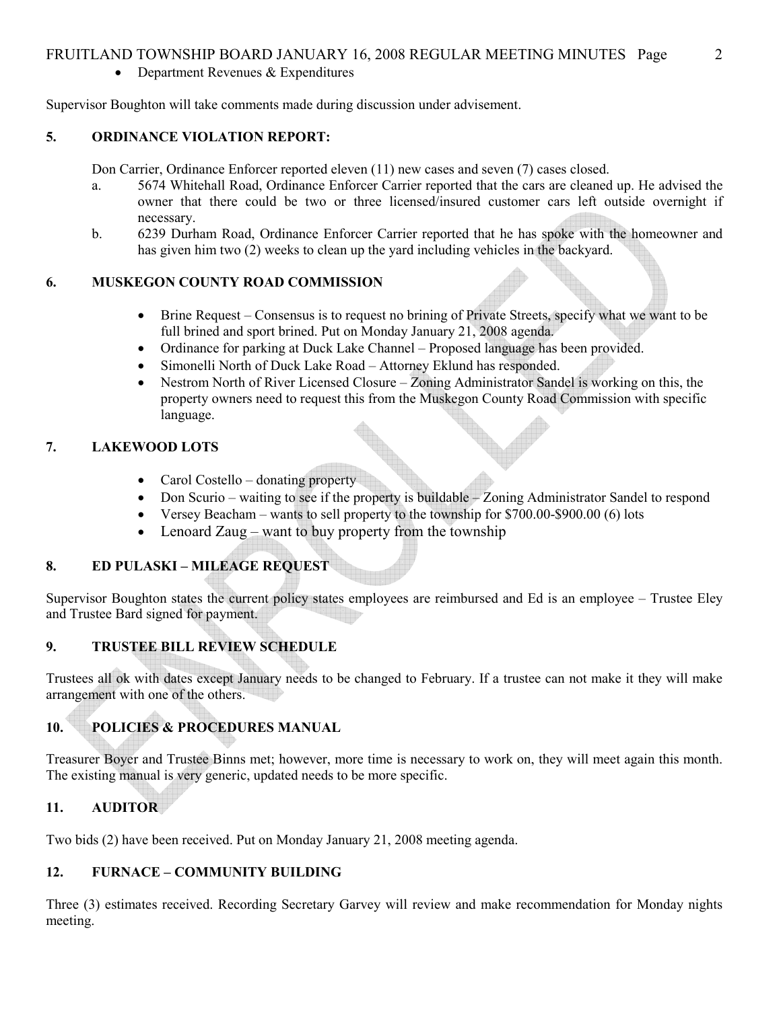## FRUITLAND TOWNSHIP BOARD JANUARY 16, 2008 REGULAR MEETING MINUTES Page 2

• Department Revenues & Expenditures

Supervisor Boughton will take comments made during discussion under advisement.

## 5. ORDINANCE VIOLATION REPORT:

Don Carrier, Ordinance Enforcer reported eleven (11) new cases and seven (7) cases closed.

- a. 5674 Whitehall Road, Ordinance Enforcer Carrier reported that the cars are cleaned up. He advised the owner that there could be two or three licensed/insured customer cars left outside overnight if necessary.
- b. 6239 Durham Road, Ordinance Enforcer Carrier reported that he has spoke with the homeowner and has given him two (2) weeks to clean up the yard including vehicles in the backyard.

### 6. MUSKEGON COUNTY ROAD COMMISSION

- Brine Request Consensus is to request no brining of Private Streets, specify what we want to be full brined and sport brined. Put on Monday January 21, 2008 agenda.
- Ordinance for parking at Duck Lake Channel Proposed language has been provided.
- Simonelli North of Duck Lake Road Attorney Eklund has responded.
- Nestrom North of River Licensed Closure Zoning Administrator Sandel is working on this, the property owners need to request this from the Muskegon County Road Commission with specific language.

## 7. LAKEWOOD LOTS

- Carol Costello donating property
- Don Scurio waiting to see if the property is buildable Zoning Administrator Sandel to respond
- Versey Beacham wants to sell property to the township for \$700.00-\$900.00 (6) lots
- Lenoard Zaug want to buy property from the township

## 8. ED PULASKI – MILEAGE REQUEST

Supervisor Boughton states the current policy states employees are reimbursed and Ed is an employee – Trustee Eley and Trustee Bard signed for payment.

## 9. TRUSTEE BILL REVIEW SCHEDULE

Trustees all ok with dates except January needs to be changed to February. If a trustee can not make it they will make arrangement with one of the others.

# 10. POLICIES & PROCEDURES MANUAL

Treasurer Boyer and Trustee Binns met; however, more time is necessary to work on, they will meet again this month. The existing manual is very generic, updated needs to be more specific.

## 11. AUDITOR

Two bids (2) have been received. Put on Monday January 21, 2008 meeting agenda.

## 12. FURNACE – COMMUNITY BUILDING

Three (3) estimates received. Recording Secretary Garvey will review and make recommendation for Monday nights meeting.